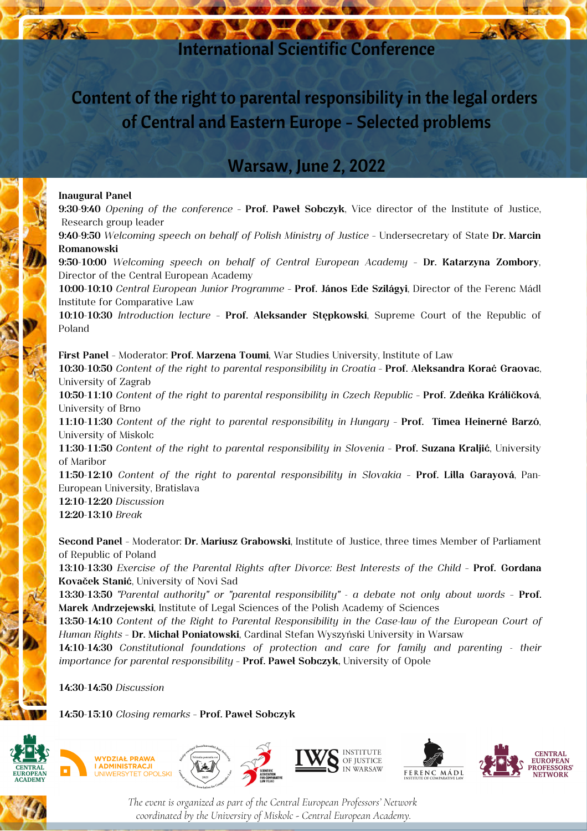### International Scientific Conference

### Content of the right to parental responsibility in the legal orders of Central and Eastern Europe - Selected problems

### Warsaw, June 2, 2022

#### **Inaugural Panel**

**9:30-9:40** *Opening of the conference* – **Prof. Paweł Sobczyk**, Vice director of the Institute of Justice, Research group leader

**9:40-9:50** *Welcoming speech on behalf of Polish Ministry of Justice* – Undersecretary of State **Dr. Marcin Romanowski**

**9:50-10:00** *Welcoming speech on behalf of Central European Academy* – **Dr. Katarzyna Zombory**, Director of the Central European Academy

**10:00-10:10** *Central European Junior Programme* – **Prof. János Ede Szilágyi**, Director of the Ferenc Mádl Institute for Comparative Law

**10:10-10:30** *Introduction lecture* – **Prof. Aleksander Stępkowski**, Supreme Court of the Republic of Poland

**First Panel** – Moderator: **Prof. Marzena Toumi**, War Studies University, Institute of Law **10:30-10:50** *Content of the right to parental responsibility in Croatia* – **Prof. Aleksandra Korać Graovac**, University of Zagrab

**10:50-11:10** *Content of the right to parental responsibility in Czech Republic* – **Prof. Zdeňka Králíčková**, University of Brno

**11:10-11:30** *Content of the right to parental responsibility in Hungary* – **Prof. Tímea Heinerné Barzó**, University of Miskolc

**11:30-11:50** *Content of the right to parental responsibility in Slovenia* – **Prof. Suzana Kraljić**, University of Maribor

**11:50-12:10** *Content of the right to parental responsibility in Slovakia* – **Prof. Lilla Garayová**, Pan-European University, Bratislava

**12:10-12:20** *Discussion* **12:20-13:10** *Break*

**Second Panel** – Moderator: **Dr. Mariusz Grabowski**, Institute of Justice, three times Member of Parliament of Republic of Poland

**13:10-13:30** *Exercise of the Parental Rights after Divorce: Best Interests of the Child* – **Prof. Gordana Kovaček Stanić**, University of Novi Sad

**13:30-13:50** *"Parental authority" or "parental responsibility" - a debate not only about words* – **Prof. Marek Andrzejewski**, Institute of Legal Sciences of the Polish Academy of Sciences

**13:50-14:10** *Content of the Right to Parental Responsibility in the Case-law of the European Court of Human Rights* – **Dr. Michał Poniatowski**, Cardinal Stefan Wyszyński University in Warsaw

**14:10-14:30** *Constitutional foundations of protection and care for family and parenting - their importance for parental responsibility* – **Prof. Paweł Sobczyk,** University of Opole

**14:30-14:50** *Discussion*

**14:50-15:10** *Closing remarks* – **Prof. Paweł Sobczyk**





*The event is organized as part of the Central European Professors' Network coordinated by the University of Miskolc - Central European Academy.*